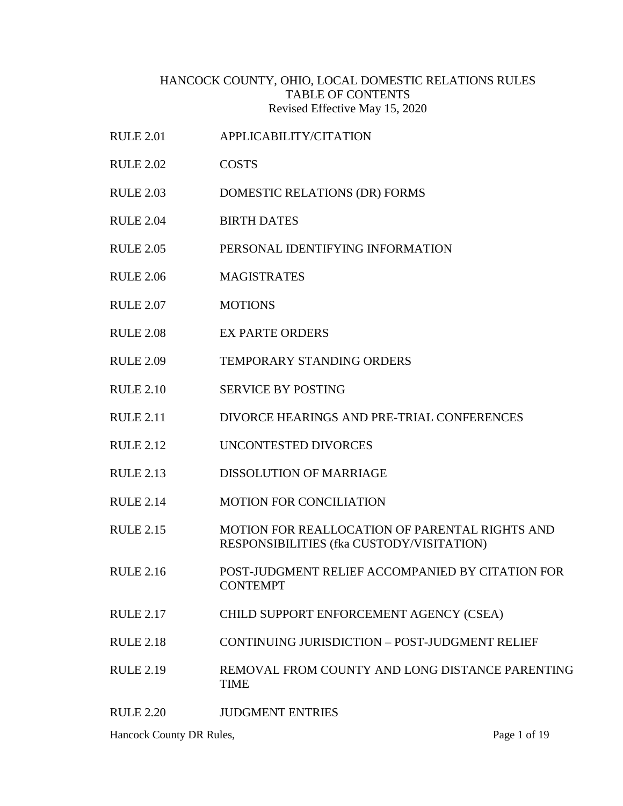### HANCOCK COUNTY, OHIO, LOCAL DOMESTIC RELATIONS RULES TABLE OF CONTENTS Revised Effective May 15, 2020

RULE 2.01 APPLICABILITY/CITATION

RULE 2.02 COSTS

RULE 2.03 DOMESTIC RELATIONS (DR) FORMS RULE 2.04 BIRTH DATES RULE 2.05 PERSONAL IDENTIFYING INFORMATION RULE 2.06 MAGISTRATES RULE 2.07 MOTIONS RULE 2.08 EX PARTE ORDERS RULE 2.09 TEMPORARY STANDING ORDERS RULE 2.10 SERVICE BY POSTING RULE 2.11 DIVORCE HEARINGS AND PRE-TRIAL CONFERENCES RULE 2.12 UNCONTESTED DIVORCES RULE 2.13 DISSOLUTION OF MARRIAGE RULE 2.14 MOTION FOR CONCILIATION RULE 2.15 MOTION FOR REALLOCATION OF PARENTAL RIGHTS AND RESPONSIBILITIES (fka CUSTODY/VISITATION) RULE 2.16 POST-JUDGMENT RELIEF ACCOMPANIED BY CITATION FOR **CONTEMPT** RULE 2.17 CHILD SUPPORT ENFORCEMENT AGENCY (CSEA) RULE 2.18 CONTINUING JURISDICTION – POST-JUDGMENT RELIEF RULE 2.19 REMOVAL FROM COUNTY AND LONG DISTANCE PARENTING TIME RULE 2.20 JUDGMENT ENTRIES

Hancock County DR Rules, Page 1 of 19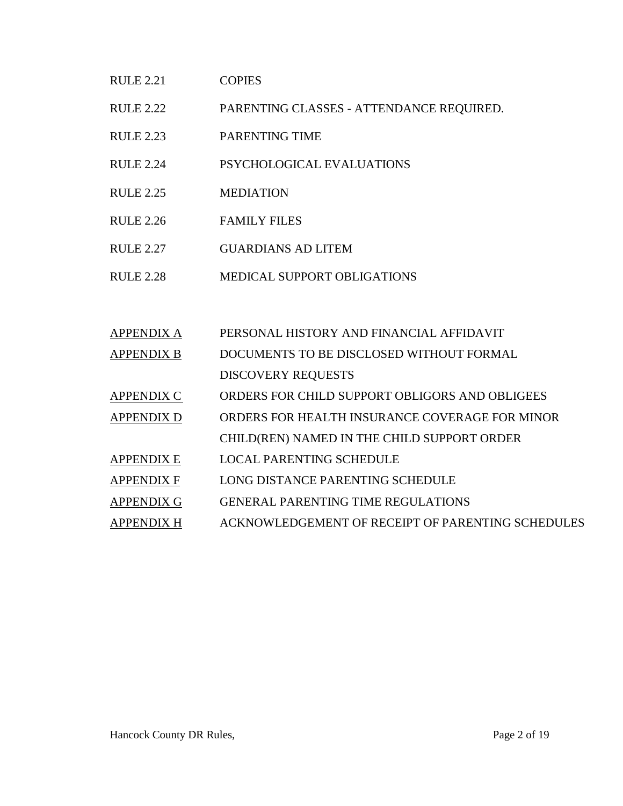#### RULE 2.21 COPIES

- RULE 2.22 PARENTING CLASSES ATTENDANCE REQUIRED.
- RULE 2.23 PARENTING TIME
- RULE 2.24 PSYCHOLOGICAL EVALUATIONS
- RULE 2.25 MEDIATION
- RULE 2.26 FAMILY FILES
- RULE 2.27 GUARDIANS AD LITEM
- RULE 2.28 MEDICAL SUPPORT OBLIGATIONS

| <b>APPENDIX A</b> | PERSONAL HISTORY AND FINANCIAL AFFIDAVIT          |
|-------------------|---------------------------------------------------|
| <b>APPENDIX B</b> | DOCUMENTS TO BE DISCLOSED WITHOUT FORMAL          |
|                   | <b>DISCOVERY REQUESTS</b>                         |
| <b>APPENDIX C</b> | ORDERS FOR CHILD SUPPORT OBLIGORS AND OBLIGEES    |
| <b>APPENDIX D</b> | ORDERS FOR HEALTH INSURANCE COVERAGE FOR MINOR    |
|                   | CHILD(REN) NAMED IN THE CHILD SUPPORT ORDER       |
| <b>APPENDIX E</b> | <b>LOCAL PARENTING SCHEDULE</b>                   |
| <b>APPENDIX F</b> | LONG DISTANCE PARENTING SCHEDULE                  |
| <b>APPENDIX G</b> | <b>GENERAL PARENTING TIME REGULATIONS</b>         |
| <b>APPENDIX H</b> | ACKNOWLEDGEMENT OF RECEIPT OF PARENTING SCHEDULES |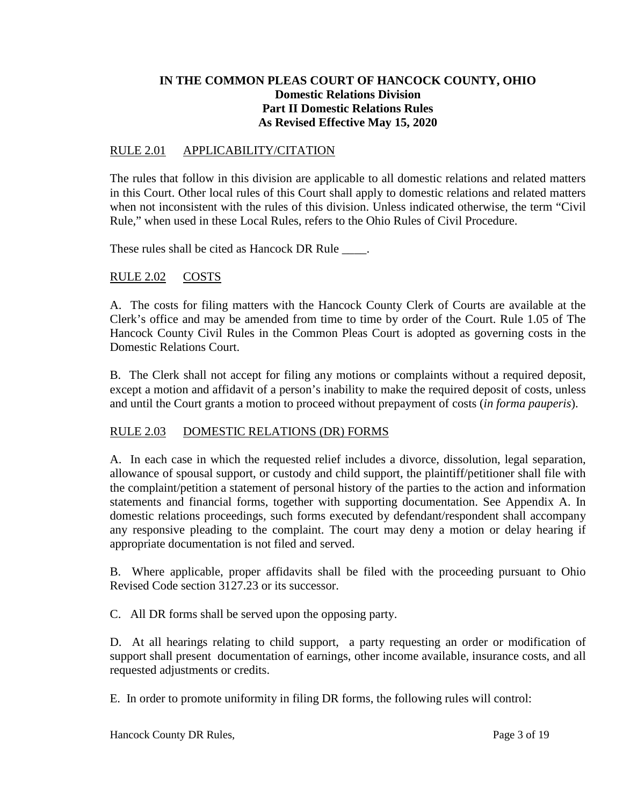# **IN THE COMMON PLEAS COURT OF HANCOCK COUNTY, OHIO Domestic Relations Division Part II Domestic Relations Rules As Revised Effective May 15, 2020**

### RULE 2.01 APPLICABILITY/CITATION

The rules that follow in this division are applicable to all domestic relations and related matters in this Court. Other local rules of this Court shall apply to domestic relations and related matters when not inconsistent with the rules of this division. Unless indicated otherwise, the term "Civil Rule," when used in these Local Rules, refers to the Ohio Rules of Civil Procedure.

These rules shall be cited as Hancock DR Rule \_\_\_\_\_.

# RULE 2.02 COSTS

A. The costs for filing matters with the Hancock County Clerk of Courts are available at the Clerk's office and may be amended from time to time by order of the Court. Rule 1.05 of The Hancock County Civil Rules in the Common Pleas Court is adopted as governing costs in the Domestic Relations Court.

B. The Clerk shall not accept for filing any motions or complaints without a required deposit, except a motion and affidavit of a person's inability to make the required deposit of costs, unless and until the Court grants a motion to proceed without prepayment of costs (*in forma pauperis*).

# RULE 2.03 DOMESTIC RELATIONS (DR) FORMS

A. In each case in which the requested relief includes a divorce, dissolution, legal separation, allowance of spousal support, or custody and child support, the plaintiff/petitioner shall file with the complaint/petition a statement of personal history of the parties to the action and information statements and financial forms, together with supporting documentation. See Appendix A. In domestic relations proceedings, such forms executed by defendant/respondent shall accompany any responsive pleading to the complaint. The court may deny a motion or delay hearing if appropriate documentation is not filed and served.

B. Where applicable, proper affidavits shall be filed with the proceeding pursuant to Ohio Revised Code section 3127.23 or its successor.

C. All DR forms shall be served upon the opposing party.

D. At all hearings relating to child support, a party requesting an order or modification of support shall present documentation of earnings, other income available, insurance costs, and all requested adjustments or credits.

E. In order to promote uniformity in filing DR forms, the following rules will control: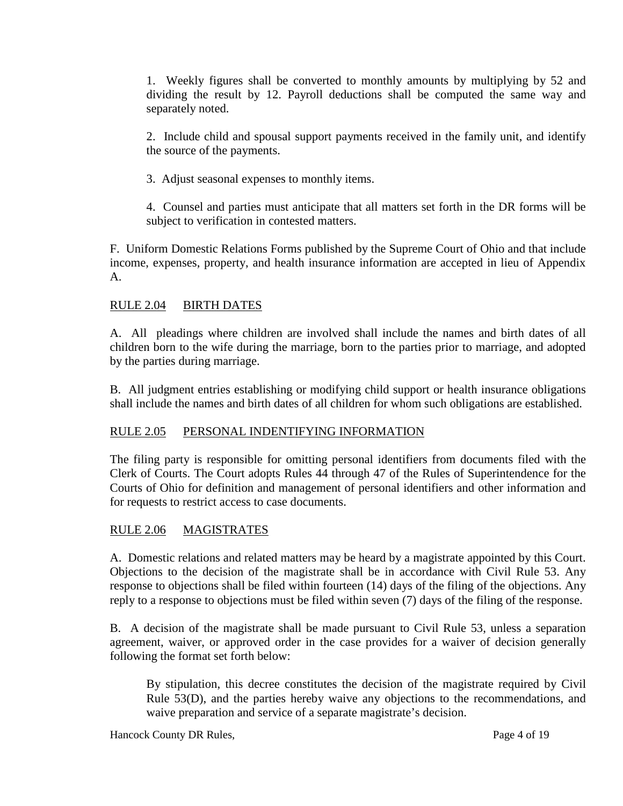1. Weekly figures shall be converted to monthly amounts by multiplying by 52 and dividing the result by 12. Payroll deductions shall be computed the same way and separately noted.

2. Include child and spousal support payments received in the family unit, and identify the source of the payments.

3. Adjust seasonal expenses to monthly items.

4. Counsel and parties must anticipate that all matters set forth in the DR forms will be subject to verification in contested matters.

F. Uniform Domestic Relations Forms published by the Supreme Court of Ohio and that include income, expenses, property, and health insurance information are accepted in lieu of Appendix A.

# RULE 2.04 BIRTH DATES

A. All pleadings where children are involved shall include the names and birth dates of all children born to the wife during the marriage, born to the parties prior to marriage, and adopted by the parties during marriage.

B. All judgment entries establishing or modifying child support or health insurance obligations shall include the names and birth dates of all children for whom such obligations are established.

# RULE 2.05 PERSONAL INDENTIFYING INFORMATION

The filing party is responsible for omitting personal identifiers from documents filed with the Clerk of Courts. The Court adopts Rules 44 through 47 of the Rules of Superintendence for the Courts of Ohio for definition and management of personal identifiers and other information and for requests to restrict access to case documents.

# RULE 2.06 MAGISTRATES

A. Domestic relations and related matters may be heard by a magistrate appointed by this Court. Objections to the decision of the magistrate shall be in accordance with Civil Rule 53. Any response to objections shall be filed within fourteen (14) days of the filing of the objections. Any reply to a response to objections must be filed within seven (7) days of the filing of the response.

B. A decision of the magistrate shall be made pursuant to Civil Rule 53, unless a separation agreement, waiver, or approved order in the case provides for a waiver of decision generally following the format set forth below:

By stipulation, this decree constitutes the decision of the magistrate required by Civil Rule 53(D), and the parties hereby waive any objections to the recommendations, and waive preparation and service of a separate magistrate's decision.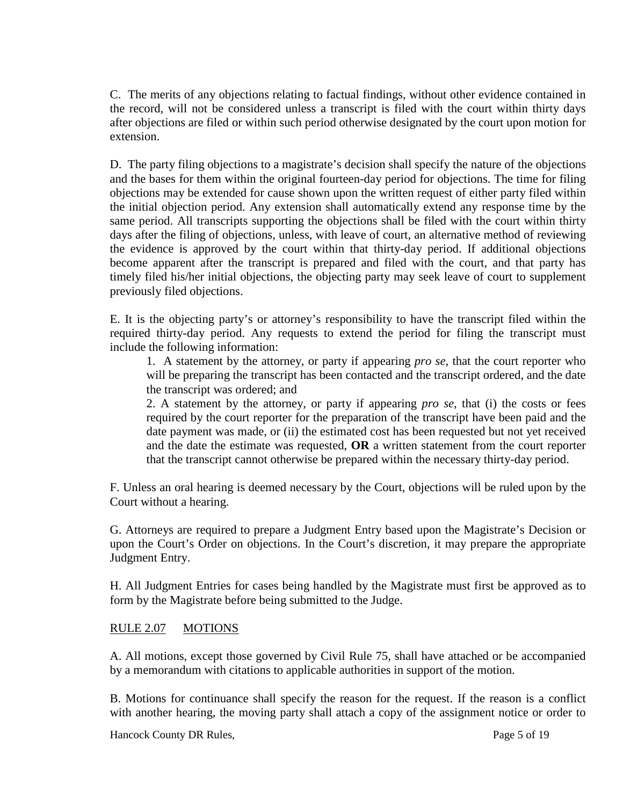C. The merits of any objections relating to factual findings, without other evidence contained in the record, will not be considered unless a transcript is filed with the court within thirty days after objections are filed or within such period otherwise designated by the court upon motion for extension.

D. The party filing objections to a magistrate's decision shall specify the nature of the objections and the bases for them within the original fourteen-day period for objections. The time for filing objections may be extended for cause shown upon the written request of either party filed within the initial objection period. Any extension shall automatically extend any response time by the same period. All transcripts supporting the objections shall be filed with the court within thirty days after the filing of objections, unless, with leave of court, an alternative method of reviewing the evidence is approved by the court within that thirty-day period. If additional objections become apparent after the transcript is prepared and filed with the court, and that party has timely filed his/her initial objections, the objecting party may seek leave of court to supplement previously filed objections.

E. It is the objecting party's or attorney's responsibility to have the transcript filed within the required thirty-day period. Any requests to extend the period for filing the transcript must include the following information:

1. A statement by the attorney, or party if appearing *pro se*, that the court reporter who will be preparing the transcript has been contacted and the transcript ordered, and the date the transcript was ordered; and

2. A statement by the attorney, or party if appearing *pro se*, that (i) the costs or fees required by the court reporter for the preparation of the transcript have been paid and the date payment was made, or (ii) the estimated cost has been requested but not yet received and the date the estimate was requested, **OR** a written statement from the court reporter that the transcript cannot otherwise be prepared within the necessary thirty-day period.

F. Unless an oral hearing is deemed necessary by the Court, objections will be ruled upon by the Court without a hearing.

G. Attorneys are required to prepare a Judgment Entry based upon the Magistrate's Decision or upon the Court's Order on objections. In the Court's discretion, it may prepare the appropriate Judgment Entry.

H. All Judgment Entries for cases being handled by the Magistrate must first be approved as to form by the Magistrate before being submitted to the Judge.

# RULE 2.07 MOTIONS

A. All motions, except those governed by Civil Rule 75, shall have attached or be accompanied by a memorandum with citations to applicable authorities in support of the motion.

B. Motions for continuance shall specify the reason for the request. If the reason is a conflict with another hearing, the moving party shall attach a copy of the assignment notice or order to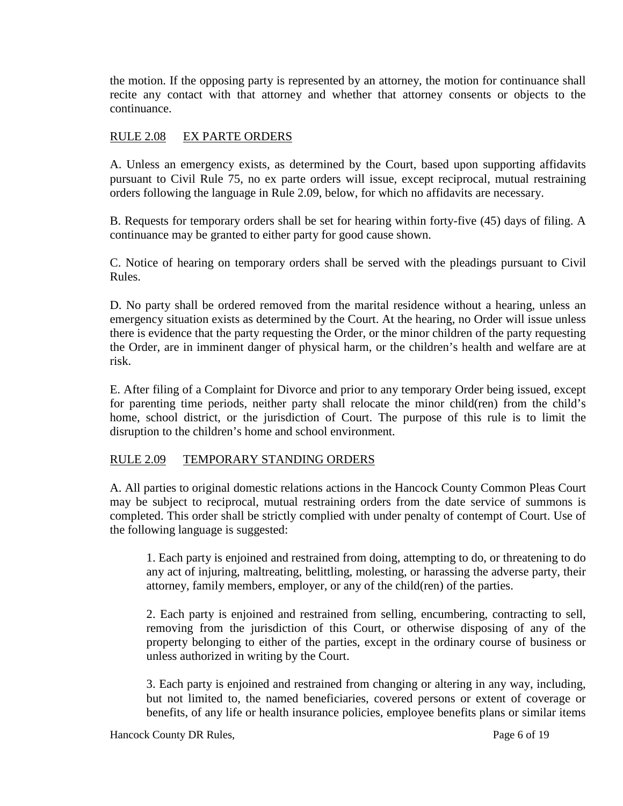the motion. If the opposing party is represented by an attorney, the motion for continuance shall recite any contact with that attorney and whether that attorney consents or objects to the continuance.

### RULE 2.08 EX PARTE ORDERS

A. Unless an emergency exists, as determined by the Court, based upon supporting affidavits pursuant to Civil Rule 75, no ex parte orders will issue, except reciprocal, mutual restraining orders following the language in Rule 2.09, below, for which no affidavits are necessary.

B. Requests for temporary orders shall be set for hearing within forty-five (45) days of filing. A continuance may be granted to either party for good cause shown.

C. Notice of hearing on temporary orders shall be served with the pleadings pursuant to Civil Rules.

D. No party shall be ordered removed from the marital residence without a hearing, unless an emergency situation exists as determined by the Court. At the hearing, no Order will issue unless there is evidence that the party requesting the Order, or the minor children of the party requesting the Order, are in imminent danger of physical harm, or the children's health and welfare are at risk.

E. After filing of a Complaint for Divorce and prior to any temporary Order being issued, except for parenting time periods, neither party shall relocate the minor child(ren) from the child's home, school district, or the jurisdiction of Court. The purpose of this rule is to limit the disruption to the children's home and school environment.

### RULE 2.09 TEMPORARY STANDING ORDERS

A. All parties to original domestic relations actions in the Hancock County Common Pleas Court may be subject to reciprocal, mutual restraining orders from the date service of summons is completed. This order shall be strictly complied with under penalty of contempt of Court. Use of the following language is suggested:

1. Each party is enjoined and restrained from doing, attempting to do, or threatening to do any act of injuring, maltreating, belittling, molesting, or harassing the adverse party, their attorney, family members, employer, or any of the child(ren) of the parties.

2. Each party is enjoined and restrained from selling, encumbering, contracting to sell, removing from the jurisdiction of this Court, or otherwise disposing of any of the property belonging to either of the parties, except in the ordinary course of business or unless authorized in writing by the Court.

3. Each party is enjoined and restrained from changing or altering in any way, including, but not limited to, the named beneficiaries, covered persons or extent of coverage or benefits, of any life or health insurance policies, employee benefits plans or similar items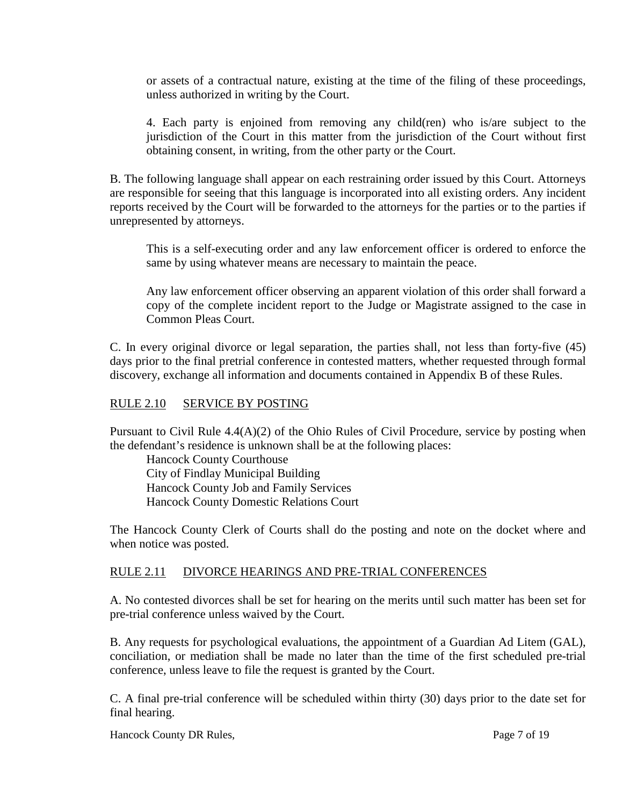or assets of a contractual nature, existing at the time of the filing of these proceedings, unless authorized in writing by the Court.

4. Each party is enjoined from removing any child(ren) who is/are subject to the jurisdiction of the Court in this matter from the jurisdiction of the Court without first obtaining consent, in writing, from the other party or the Court.

B. The following language shall appear on each restraining order issued by this Court. Attorneys are responsible for seeing that this language is incorporated into all existing orders. Any incident reports received by the Court will be forwarded to the attorneys for the parties or to the parties if unrepresented by attorneys.

This is a self-executing order and any law enforcement officer is ordered to enforce the same by using whatever means are necessary to maintain the peace.

Any law enforcement officer observing an apparent violation of this order shall forward a copy of the complete incident report to the Judge or Magistrate assigned to the case in Common Pleas Court.

C. In every original divorce or legal separation, the parties shall, not less than forty-five (45) days prior to the final pretrial conference in contested matters, whether requested through formal discovery, exchange all information and documents contained in Appendix B of these Rules.

### RULE 2.10 SERVICE BY POSTING

Pursuant to Civil Rule 4.4(A)(2) of the Ohio Rules of Civil Procedure, service by posting when the defendant's residence is unknown shall be at the following places:

Hancock County Courthouse City of Findlay Municipal Building Hancock County Job and Family Services Hancock County Domestic Relations Court

The Hancock County Clerk of Courts shall do the posting and note on the docket where and when notice was posted.

### RULE 2.11 DIVORCE HEARINGS AND PRE-TRIAL CONFERENCES

A. No contested divorces shall be set for hearing on the merits until such matter has been set for pre-trial conference unless waived by the Court.

B. Any requests for psychological evaluations, the appointment of a Guardian Ad Litem (GAL), conciliation, or mediation shall be made no later than the time of the first scheduled pre-trial conference, unless leave to file the request is granted by the Court.

C. A final pre-trial conference will be scheduled within thirty (30) days prior to the date set for final hearing.

Hancock County DR Rules, Page 7 of 19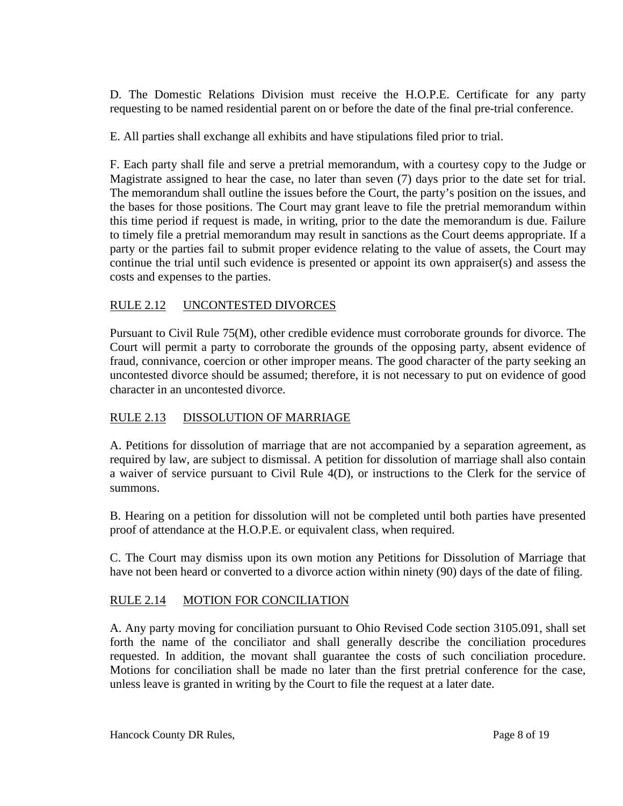D. The Domestic Relations Division must receive the H.O.P.E. Certificate for any party requesting to be named residential parent on or before the date of the final pre-trial conference.

E. All parties shall exchange all exhibits and have stipulations filed prior to trial.

F. Each party shall file and serve a pretrial memorandum, with a courtesy copy to the Judge or Magistrate assigned to hear the case, no later than seven (7) days prior to the date set for trial. The memorandum shall outline the issues before the Court, the party's position on the issues, and the bases for those positions. The Court may grant leave to file the pretrial memorandum within this time period if request is made, in writing, prior to the date the memorandum is due. Failure to timely file a pretrial memorandum may result in sanctions as the Court deems appropriate. If a party or the parties fail to submit proper evidence relating to the value of assets, the Court may continue the trial until such evidence is presented or appoint its own appraiser(s) and assess the costs and expenses to the parties.

# RULE 2.12 UNCONTESTED DIVORCES

Pursuant to Civil Rule 75(M), other credible evidence must corroborate grounds for divorce. The Court will permit a party to corroborate the grounds of the opposing party, absent evidence of fraud, connivance, coercion or other improper means. The good character of the party seeking an uncontested divorce should be assumed; therefore, it is not necessary to put on evidence of good character in an uncontested divorce.

# RULE 2.13 DISSOLUTION OF MARRIAGE

A. Petitions for dissolution of marriage that are not accompanied by a separation agreement, as required by law, are subject to dismissal. A petition for dissolution of marriage shall also contain a waiver of service pursuant to Civil Rule 4(D), or instructions to the Clerk for the service of summons.

B. Hearing on a petition for dissolution will not be completed until both parties have presented proof of attendance at the H.O.P.E. or equivalent class, when required.

C. The Court may dismiss upon its own motion any Petitions for Dissolution of Marriage that have not been heard or converted to a divorce action within ninety (90) days of the date of filing.

# RULE 2.14 MOTION FOR CONCILIATION

A. Any party moving for conciliation pursuant to Ohio Revised Code section 3105.091, shall set forth the name of the conciliator and shall generally describe the conciliation procedures requested. In addition, the movant shall guarantee the costs of such conciliation procedure. Motions for conciliation shall be made no later than the first pretrial conference for the case, unless leave is granted in writing by the Court to file the request at a later date.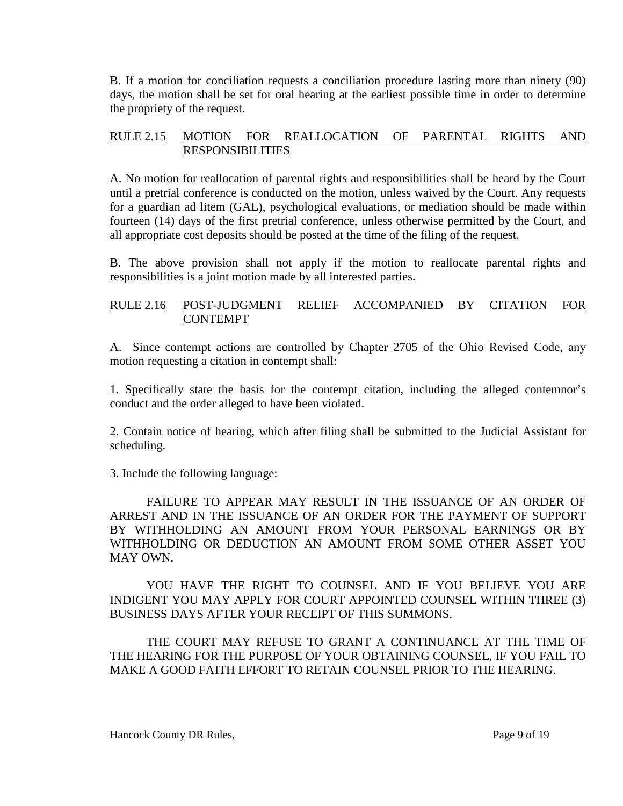B. If a motion for conciliation requests a conciliation procedure lasting more than ninety (90) days, the motion shall be set for oral hearing at the earliest possible time in order to determine the propriety of the request.

### RULE 2.15 MOTION FOR REALLOCATION OF PARENTAL RIGHTS AND RESPONSIBILITIES

A. No motion for reallocation of parental rights and responsibilities shall be heard by the Court until a pretrial conference is conducted on the motion, unless waived by the Court. Any requests for a guardian ad litem (GAL), psychological evaluations, or mediation should be made within fourteen (14) days of the first pretrial conference, unless otherwise permitted by the Court, and all appropriate cost deposits should be posted at the time of the filing of the request.

B. The above provision shall not apply if the motion to reallocate parental rights and responsibilities is a joint motion made by all interested parties.

# RULE 2.16 POST-JUDGMENT RELIEF ACCOMPANIED BY CITATION FOR **CONTEMPT**

A. Since contempt actions are controlled by Chapter 2705 of the Ohio Revised Code, any motion requesting a citation in contempt shall:

1. Specifically state the basis for the contempt citation, including the alleged contemnor's conduct and the order alleged to have been violated.

2. Contain notice of hearing, which after filing shall be submitted to the Judicial Assistant for scheduling.

3. Include the following language:

FAILURE TO APPEAR MAY RESULT IN THE ISSUANCE OF AN ORDER OF ARREST AND IN THE ISSUANCE OF AN ORDER FOR THE PAYMENT OF SUPPORT BY WITHHOLDING AN AMOUNT FROM YOUR PERSONAL EARNINGS OR BY WITHHOLDING OR DEDUCTION AN AMOUNT FROM SOME OTHER ASSET YOU MAY OWN.

YOU HAVE THE RIGHT TO COUNSEL AND IF YOU BELIEVE YOU ARE INDIGENT YOU MAY APPLY FOR COURT APPOINTED COUNSEL WITHIN THREE (3) BUSINESS DAYS AFTER YOUR RECEIPT OF THIS SUMMONS.

THE COURT MAY REFUSE TO GRANT A CONTINUANCE AT THE TIME OF THE HEARING FOR THE PURPOSE OF YOUR OBTAINING COUNSEL, IF YOU FAIL TO MAKE A GOOD FAITH EFFORT TO RETAIN COUNSEL PRIOR TO THE HEARING.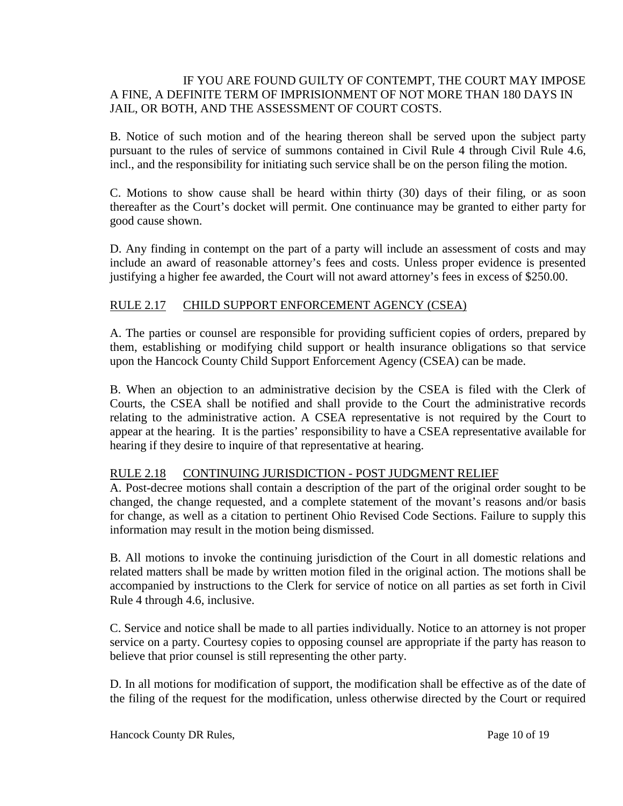### IF YOU ARE FOUND GUILTY OF CONTEMPT, THE COURT MAY IMPOSE A FINE, A DEFINITE TERM OF IMPRISIONMENT OF NOT MORE THAN 180 DAYS IN JAIL, OR BOTH, AND THE ASSESSMENT OF COURT COSTS.

B. Notice of such motion and of the hearing thereon shall be served upon the subject party pursuant to the rules of service of summons contained in Civil Rule 4 through Civil Rule 4.6, incl., and the responsibility for initiating such service shall be on the person filing the motion.

C. Motions to show cause shall be heard within thirty (30) days of their filing, or as soon thereafter as the Court's docket will permit. One continuance may be granted to either party for good cause shown.

D. Any finding in contempt on the part of a party will include an assessment of costs and may include an award of reasonable attorney's fees and costs. Unless proper evidence is presented justifying a higher fee awarded, the Court will not award attorney's fees in excess of \$250.00.

### RULE 2.17 CHILD SUPPORT ENFORCEMENT AGENCY (CSEA)

A. The parties or counsel are responsible for providing sufficient copies of orders, prepared by them, establishing or modifying child support or health insurance obligations so that service upon the Hancock County Child Support Enforcement Agency (CSEA) can be made.

B. When an objection to an administrative decision by the CSEA is filed with the Clerk of Courts, the CSEA shall be notified and shall provide to the Court the administrative records relating to the administrative action. A CSEA representative is not required by the Court to appear at the hearing. It is the parties' responsibility to have a CSEA representative available for hearing if they desire to inquire of that representative at hearing.

# RULE 2.18 CONTINUING JURISDICTION - POST JUDGMENT RELIEF

A. Post-decree motions shall contain a description of the part of the original order sought to be changed, the change requested, and a complete statement of the movant's reasons and/or basis for change, as well as a citation to pertinent Ohio Revised Code Sections. Failure to supply this information may result in the motion being dismissed.

B. All motions to invoke the continuing jurisdiction of the Court in all domestic relations and related matters shall be made by written motion filed in the original action. The motions shall be accompanied by instructions to the Clerk for service of notice on all parties as set forth in Civil Rule 4 through 4.6, inclusive.

C. Service and notice shall be made to all parties individually. Notice to an attorney is not proper service on a party. Courtesy copies to opposing counsel are appropriate if the party has reason to believe that prior counsel is still representing the other party.

D. In all motions for modification of support, the modification shall be effective as of the date of the filing of the request for the modification, unless otherwise directed by the Court or required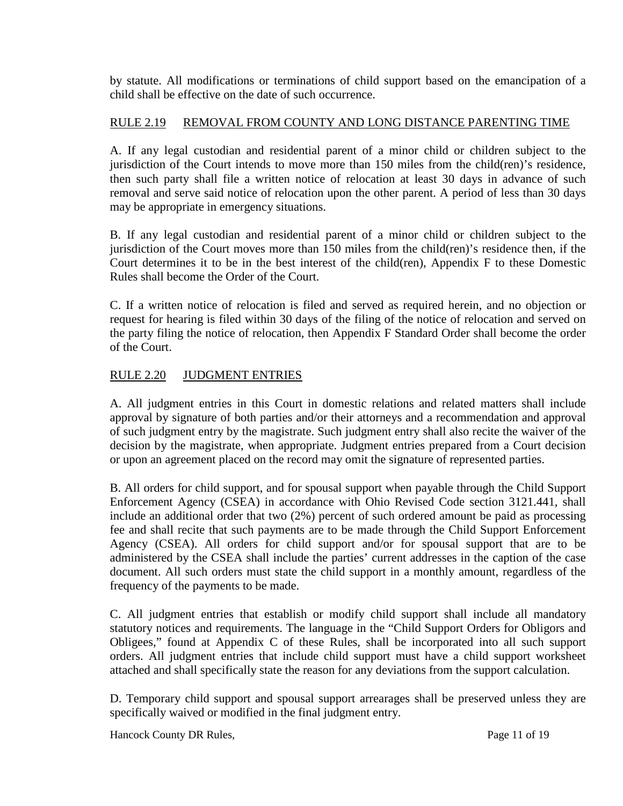by statute. All modifications or terminations of child support based on the emancipation of a child shall be effective on the date of such occurrence.

### RULE 2.19 REMOVAL FROM COUNTY AND LONG DISTANCE PARENTING TIME

A. If any legal custodian and residential parent of a minor child or children subject to the jurisdiction of the Court intends to move more than 150 miles from the child(ren)'s residence, then such party shall file a written notice of relocation at least 30 days in advance of such removal and serve said notice of relocation upon the other parent. A period of less than 30 days may be appropriate in emergency situations.

B. If any legal custodian and residential parent of a minor child or children subject to the jurisdiction of the Court moves more than 150 miles from the child(ren)'s residence then, if the Court determines it to be in the best interest of the child(ren), Appendix F to these Domestic Rules shall become the Order of the Court.

C. If a written notice of relocation is filed and served as required herein, and no objection or request for hearing is filed within 30 days of the filing of the notice of relocation and served on the party filing the notice of relocation, then Appendix F Standard Order shall become the order of the Court.

### RULE 2.20 JUDGMENT ENTRIES

A. All judgment entries in this Court in domestic relations and related matters shall include approval by signature of both parties and/or their attorneys and a recommendation and approval of such judgment entry by the magistrate. Such judgment entry shall also recite the waiver of the decision by the magistrate, when appropriate. Judgment entries prepared from a Court decision or upon an agreement placed on the record may omit the signature of represented parties.

B. All orders for child support, and for spousal support when payable through the Child Support Enforcement Agency (CSEA) in accordance with Ohio Revised Code section 3121.441, shall include an additional order that two (2%) percent of such ordered amount be paid as processing fee and shall recite that such payments are to be made through the Child Support Enforcement Agency (CSEA). All orders for child support and/or for spousal support that are to be administered by the CSEA shall include the parties' current addresses in the caption of the case document. All such orders must state the child support in a monthly amount, regardless of the frequency of the payments to be made.

C. All judgment entries that establish or modify child support shall include all mandatory statutory notices and requirements. The language in the "Child Support Orders for Obligors and Obligees," found at Appendix C of these Rules, shall be incorporated into all such support orders. All judgment entries that include child support must have a child support worksheet attached and shall specifically state the reason for any deviations from the support calculation.

D. Temporary child support and spousal support arrearages shall be preserved unless they are specifically waived or modified in the final judgment entry.

Hancock County DR Rules, Page 11 of 19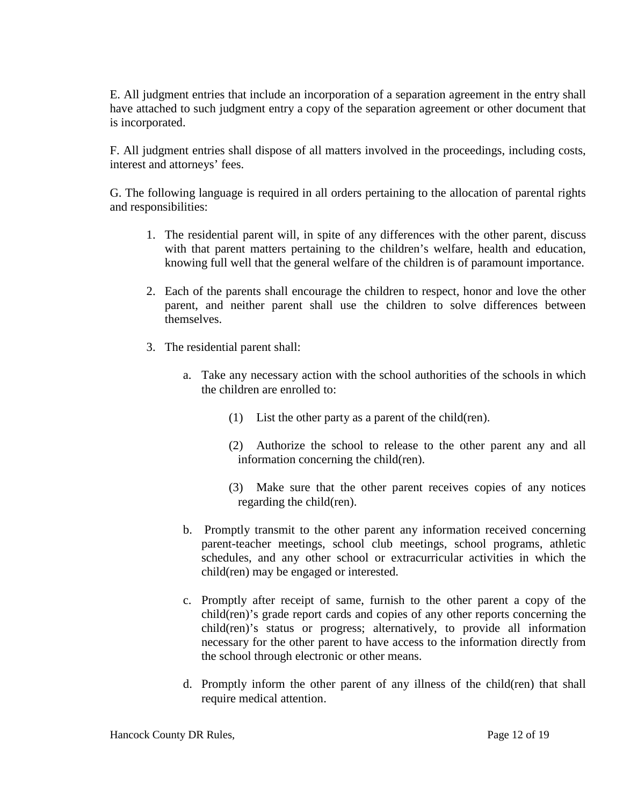E. All judgment entries that include an incorporation of a separation agreement in the entry shall have attached to such judgment entry a copy of the separation agreement or other document that is incorporated.

F. All judgment entries shall dispose of all matters involved in the proceedings, including costs, interest and attorneys' fees.

G. The following language is required in all orders pertaining to the allocation of parental rights and responsibilities:

- 1. The residential parent will, in spite of any differences with the other parent, discuss with that parent matters pertaining to the children's welfare, health and education, knowing full well that the general welfare of the children is of paramount importance.
- 2. Each of the parents shall encourage the children to respect, honor and love the other parent, and neither parent shall use the children to solve differences between themselves.
- 3. The residential parent shall:
	- a. Take any necessary action with the school authorities of the schools in which the children are enrolled to:
		- (1) List the other party as a parent of the child(ren).
		- (2) Authorize the school to release to the other parent any and all information concerning the child(ren).
		- (3) Make sure that the other parent receives copies of any notices regarding the child(ren).
	- b. Promptly transmit to the other parent any information received concerning parent-teacher meetings, school club meetings, school programs, athletic schedules, and any other school or extracurricular activities in which the child(ren) may be engaged or interested.
	- c. Promptly after receipt of same, furnish to the other parent a copy of the child(ren)'s grade report cards and copies of any other reports concerning the child(ren)'s status or progress; alternatively, to provide all information necessary for the other parent to have access to the information directly from the school through electronic or other means.
	- d. Promptly inform the other parent of any illness of the child(ren) that shall require medical attention.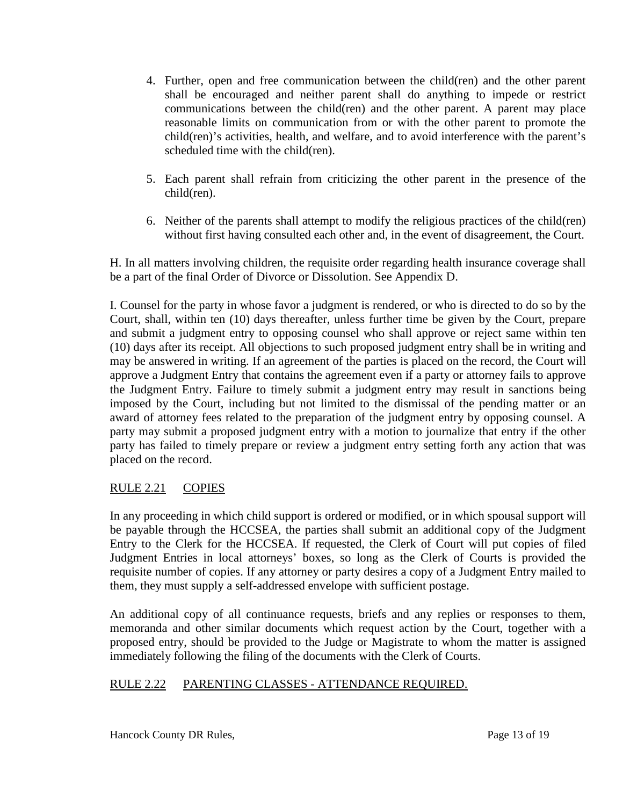- 4. Further, open and free communication between the child(ren) and the other parent shall be encouraged and neither parent shall do anything to impede or restrict communications between the child(ren) and the other parent. A parent may place reasonable limits on communication from or with the other parent to promote the child(ren)'s activities, health, and welfare, and to avoid interference with the parent's scheduled time with the child(ren).
- 5. Each parent shall refrain from criticizing the other parent in the presence of the child(ren).
- 6. Neither of the parents shall attempt to modify the religious practices of the child(ren) without first having consulted each other and, in the event of disagreement, the Court.

H. In all matters involving children, the requisite order regarding health insurance coverage shall be a part of the final Order of Divorce or Dissolution. See Appendix D.

I. Counsel for the party in whose favor a judgment is rendered, or who is directed to do so by the Court, shall, within ten (10) days thereafter, unless further time be given by the Court, prepare and submit a judgment entry to opposing counsel who shall approve or reject same within ten (10) days after its receipt. All objections to such proposed judgment entry shall be in writing and may be answered in writing. If an agreement of the parties is placed on the record, the Court will approve a Judgment Entry that contains the agreement even if a party or attorney fails to approve the Judgment Entry. Failure to timely submit a judgment entry may result in sanctions being imposed by the Court, including but not limited to the dismissal of the pending matter or an award of attorney fees related to the preparation of the judgment entry by opposing counsel. A party may submit a proposed judgment entry with a motion to journalize that entry if the other party has failed to timely prepare or review a judgment entry setting forth any action that was placed on the record.

# RULE 2.21 COPIES

In any proceeding in which child support is ordered or modified, or in which spousal support will be payable through the HCCSEA, the parties shall submit an additional copy of the Judgment Entry to the Clerk for the HCCSEA. If requested, the Clerk of Court will put copies of filed Judgment Entries in local attorneys' boxes, so long as the Clerk of Courts is provided the requisite number of copies. If any attorney or party desires a copy of a Judgment Entry mailed to them, they must supply a self-addressed envelope with sufficient postage.

An additional copy of all continuance requests, briefs and any replies or responses to them, memoranda and other similar documents which request action by the Court, together with a proposed entry, should be provided to the Judge or Magistrate to whom the matter is assigned immediately following the filing of the documents with the Clerk of Courts.

# RULE 2.22 PARENTING CLASSES - ATTENDANCE REQUIRED.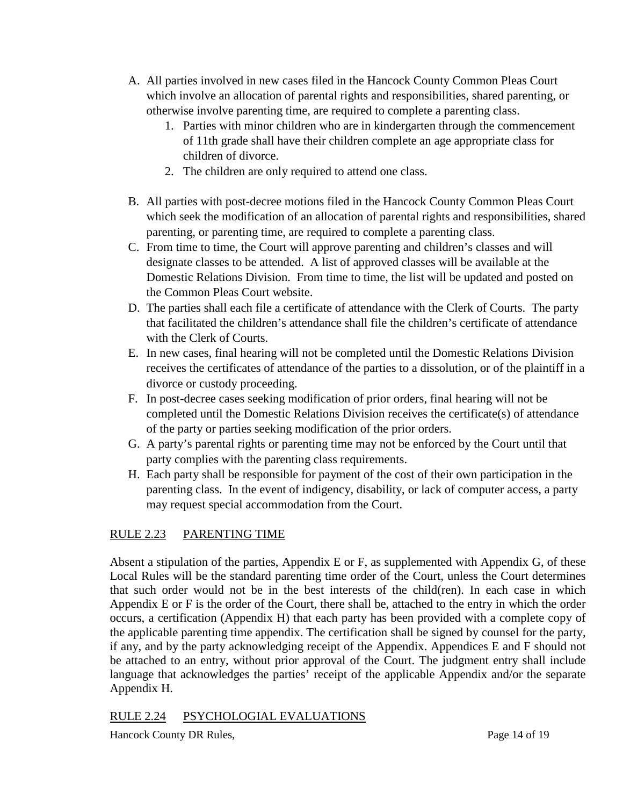- A. All parties involved in new cases filed in the Hancock County Common Pleas Court which involve an allocation of parental rights and responsibilities, shared parenting, or otherwise involve parenting time, are required to complete a parenting class.
	- 1. Parties with minor children who are in kindergarten through the commencement of 11th grade shall have their children complete an age appropriate class for children of divorce.
	- 2. The children are only required to attend one class.
- B. All parties with post-decree motions filed in the Hancock County Common Pleas Court which seek the modification of an allocation of parental rights and responsibilities, shared parenting, or parenting time, are required to complete a parenting class.
- C. From time to time, the Court will approve parenting and children's classes and will designate classes to be attended. A list of approved classes will be available at the Domestic Relations Division. From time to time, the list will be updated and posted on the Common Pleas Court website.
- D. The parties shall each file a certificate of attendance with the Clerk of Courts. The party that facilitated the children's attendance shall file the children's certificate of attendance with the Clerk of Courts.
- E. In new cases, final hearing will not be completed until the Domestic Relations Division receives the certificates of attendance of the parties to a dissolution, or of the plaintiff in a divorce or custody proceeding.
- F. In post-decree cases seeking modification of prior orders, final hearing will not be completed until the Domestic Relations Division receives the certificate(s) of attendance of the party or parties seeking modification of the prior orders.
- G. A party's parental rights or parenting time may not be enforced by the Court until that party complies with the parenting class requirements.
- H. Each party shall be responsible for payment of the cost of their own participation in the parenting class. In the event of indigency, disability, or lack of computer access, a party may request special accommodation from the Court.

# RULE 2.23 PARENTING TIME

Absent a stipulation of the parties, Appendix E or F, as supplemented with Appendix G, of these Local Rules will be the standard parenting time order of the Court, unless the Court determines that such order would not be in the best interests of the child(ren). In each case in which Appendix E or F is the order of the Court, there shall be, attached to the entry in which the order occurs, a certification (Appendix H) that each party has been provided with a complete copy of the applicable parenting time appendix. The certification shall be signed by counsel for the party, if any, and by the party acknowledging receipt of the Appendix. Appendices E and F should not be attached to an entry, without prior approval of the Court. The judgment entry shall include language that acknowledges the parties' receipt of the applicable Appendix and/or the separate Appendix H.

# RULE 2.24 PSYCHOLOGIAL EVALUATIONS

Hancock County DR Rules, Page 14 of 19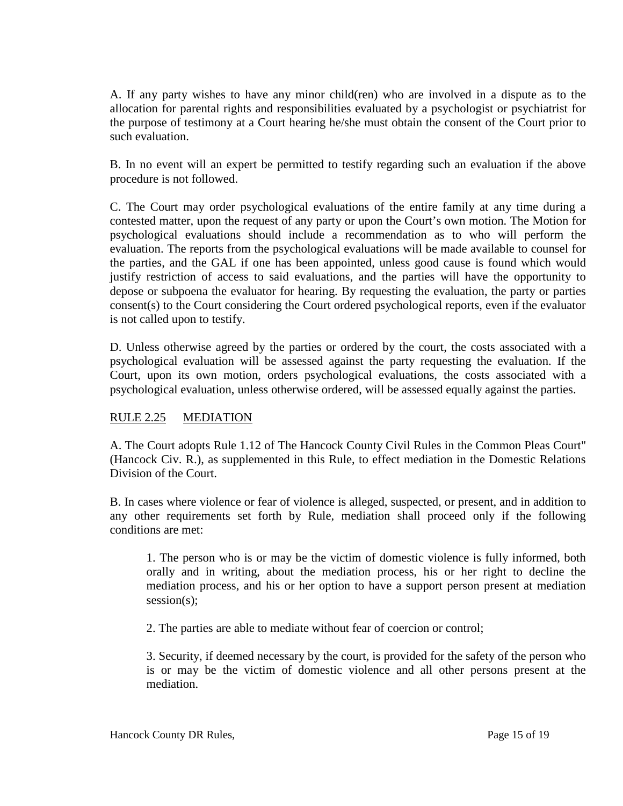A. If any party wishes to have any minor child(ren) who are involved in a dispute as to the allocation for parental rights and responsibilities evaluated by a psychologist or psychiatrist for the purpose of testimony at a Court hearing he/she must obtain the consent of the Court prior to such evaluation.

B. In no event will an expert be permitted to testify regarding such an evaluation if the above procedure is not followed.

C. The Court may order psychological evaluations of the entire family at any time during a contested matter, upon the request of any party or upon the Court's own motion. The Motion for psychological evaluations should include a recommendation as to who will perform the evaluation. The reports from the psychological evaluations will be made available to counsel for the parties, and the GAL if one has been appointed, unless good cause is found which would justify restriction of access to said evaluations, and the parties will have the opportunity to depose or subpoena the evaluator for hearing. By requesting the evaluation, the party or parties consent(s) to the Court considering the Court ordered psychological reports, even if the evaluator is not called upon to testify.

D. Unless otherwise agreed by the parties or ordered by the court, the costs associated with a psychological evaluation will be assessed against the party requesting the evaluation. If the Court, upon its own motion, orders psychological evaluations, the costs associated with a psychological evaluation, unless otherwise ordered, will be assessed equally against the parties.

# RULE 2.25 MEDIATION

A. The Court adopts Rule 1.12 of The Hancock County Civil Rules in the Common Pleas Court" (Hancock Civ. R.), as supplemented in this Rule, to effect mediation in the Domestic Relations Division of the Court.

B. In cases where violence or fear of violence is alleged, suspected, or present, and in addition to any other requirements set forth by Rule, mediation shall proceed only if the following conditions are met:

1. The person who is or may be the victim of domestic violence is fully informed, both orally and in writing, about the mediation process, his or her right to decline the mediation process, and his or her option to have a support person present at mediation session(s);

2. The parties are able to mediate without fear of coercion or control;

3. Security, if deemed necessary by the court, is provided for the safety of the person who is or may be the victim of domestic violence and all other persons present at the mediation.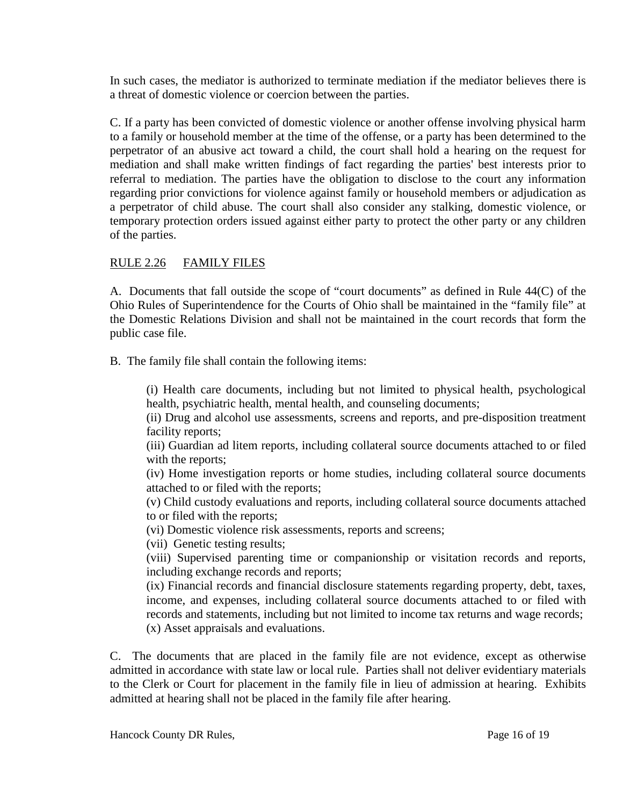In such cases, the mediator is authorized to terminate mediation if the mediator believes there is a threat of domestic violence or coercion between the parties.

C. If a party has been convicted of domestic violence or another offense involving physical harm to a family or household member at the time of the offense, or a party has been determined to the perpetrator of an abusive act toward a child, the court shall hold a hearing on the request for mediation and shall make written findings of fact regarding the parties' best interests prior to referral to mediation. The parties have the obligation to disclose to the court any information regarding prior convictions for violence against family or household members or adjudication as a perpetrator of child abuse. The court shall also consider any stalking, domestic violence, or temporary protection orders issued against either party to protect the other party or any children of the parties.

# RULE 2.26 FAMILY FILES

A. Documents that fall outside the scope of "court documents" as defined in Rule 44(C) of the Ohio Rules of Superintendence for the Courts of Ohio shall be maintained in the "family file" at the Domestic Relations Division and shall not be maintained in the court records that form the public case file.

B. The family file shall contain the following items:

(i) Health care documents, including but not limited to physical health, psychological health, psychiatric health, mental health, and counseling documents;

(ii) Drug and alcohol use assessments, screens and reports, and pre-disposition treatment facility reports;

(iii) Guardian ad litem reports, including collateral source documents attached to or filed with the reports;

(iv) Home investigation reports or home studies, including collateral source documents attached to or filed with the reports;

(v) Child custody evaluations and reports, including collateral source documents attached to or filed with the reports;

(vi) Domestic violence risk assessments, reports and screens;

(vii) Genetic testing results;

(viii) Supervised parenting time or companionship or visitation records and reports, including exchange records and reports;

(ix) Financial records and financial disclosure statements regarding property, debt, taxes, income, and expenses, including collateral source documents attached to or filed with records and statements, including but not limited to income tax returns and wage records; (x) Asset appraisals and evaluations.

C. The documents that are placed in the family file are not evidence, except as otherwise admitted in accordance with state law or local rule. Parties shall not deliver evidentiary materials to the Clerk or Court for placement in the family file in lieu of admission at hearing. Exhibits admitted at hearing shall not be placed in the family file after hearing.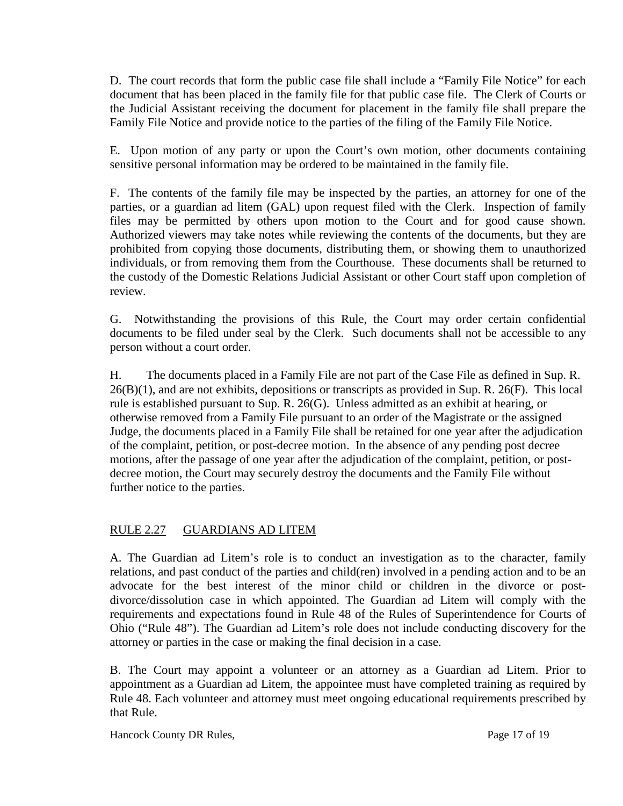D. The court records that form the public case file shall include a "Family File Notice" for each document that has been placed in the family file for that public case file. The Clerk of Courts or the Judicial Assistant receiving the document for placement in the family file shall prepare the Family File Notice and provide notice to the parties of the filing of the Family File Notice.

E. Upon motion of any party or upon the Court's own motion, other documents containing sensitive personal information may be ordered to be maintained in the family file.

F. The contents of the family file may be inspected by the parties, an attorney for one of the parties, or a guardian ad litem (GAL) upon request filed with the Clerk. Inspection of family files may be permitted by others upon motion to the Court and for good cause shown. Authorized viewers may take notes while reviewing the contents of the documents, but they are prohibited from copying those documents, distributing them, or showing them to unauthorized individuals, or from removing them from the Courthouse. These documents shall be returned to the custody of the Domestic Relations Judicial Assistant or other Court staff upon completion of review.

G. Notwithstanding the provisions of this Rule, the Court may order certain confidential documents to be filed under seal by the Clerk. Such documents shall not be accessible to any person without a court order.

H. The documents placed in a Family File are not part of the Case File as defined in Sup. R.  $26(B)(1)$ , and are not exhibits, depositions or transcripts as provided in Sup. R.  $26(F)$ . This local rule is established pursuant to Sup. R. 26(G). Unless admitted as an exhibit at hearing, or otherwise removed from a Family File pursuant to an order of the Magistrate or the assigned Judge, the documents placed in a Family File shall be retained for one year after the adjudication of the complaint, petition, or post-decree motion. In the absence of any pending post decree motions, after the passage of one year after the adjudication of the complaint, petition, or postdecree motion, the Court may securely destroy the documents and the Family File without further notice to the parties.

# RULE 2.27 GUARDIANS AD LITEM

A. The Guardian ad Litem's role is to conduct an investigation as to the character, family relations, and past conduct of the parties and child(ren) involved in a pending action and to be an advocate for the best interest of the minor child or children in the divorce or postdivorce/dissolution case in which appointed. The Guardian ad Litem will comply with the requirements and expectations found in Rule 48 of the Rules of Superintendence for Courts of Ohio ("Rule 48"). The Guardian ad Litem's role does not include conducting discovery for the attorney or parties in the case or making the final decision in a case.

B. The Court may appoint a volunteer or an attorney as a Guardian ad Litem. Prior to appointment as a Guardian ad Litem, the appointee must have completed training as required by Rule 48. Each volunteer and attorney must meet ongoing educational requirements prescribed by that Rule.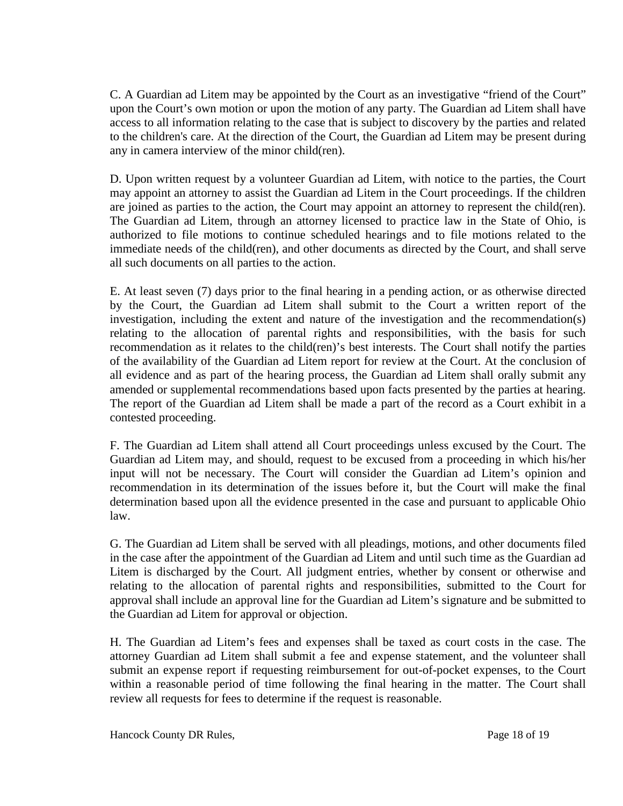C. A Guardian ad Litem may be appointed by the Court as an investigative "friend of the Court" upon the Court's own motion or upon the motion of any party. The Guardian ad Litem shall have access to all information relating to the case that is subject to discovery by the parties and related to the children's care. At the direction of the Court, the Guardian ad Litem may be present during any in camera interview of the minor child(ren).

D. Upon written request by a volunteer Guardian ad Litem, with notice to the parties, the Court may appoint an attorney to assist the Guardian ad Litem in the Court proceedings. If the children are joined as parties to the action, the Court may appoint an attorney to represent the child(ren). The Guardian ad Litem, through an attorney licensed to practice law in the State of Ohio, is authorized to file motions to continue scheduled hearings and to file motions related to the immediate needs of the child(ren), and other documents as directed by the Court, and shall serve all such documents on all parties to the action.

E. At least seven (7) days prior to the final hearing in a pending action, or as otherwise directed by the Court, the Guardian ad Litem shall submit to the Court a written report of the investigation, including the extent and nature of the investigation and the recommendation(s) relating to the allocation of parental rights and responsibilities, with the basis for such recommendation as it relates to the child(ren)'s best interests. The Court shall notify the parties of the availability of the Guardian ad Litem report for review at the Court. At the conclusion of all evidence and as part of the hearing process, the Guardian ad Litem shall orally submit any amended or supplemental recommendations based upon facts presented by the parties at hearing. The report of the Guardian ad Litem shall be made a part of the record as a Court exhibit in a contested proceeding.

F. The Guardian ad Litem shall attend all Court proceedings unless excused by the Court. The Guardian ad Litem may, and should, request to be excused from a proceeding in which his/her input will not be necessary. The Court will consider the Guardian ad Litem's opinion and recommendation in its determination of the issues before it, but the Court will make the final determination based upon all the evidence presented in the case and pursuant to applicable Ohio law.

G. The Guardian ad Litem shall be served with all pleadings, motions, and other documents filed in the case after the appointment of the Guardian ad Litem and until such time as the Guardian ad Litem is discharged by the Court. All judgment entries, whether by consent or otherwise and relating to the allocation of parental rights and responsibilities, submitted to the Court for approval shall include an approval line for the Guardian ad Litem's signature and be submitted to the Guardian ad Litem for approval or objection.

H. The Guardian ad Litem's fees and expenses shall be taxed as court costs in the case. The attorney Guardian ad Litem shall submit a fee and expense statement, and the volunteer shall submit an expense report if requesting reimbursement for out-of-pocket expenses, to the Court within a reasonable period of time following the final hearing in the matter. The Court shall review all requests for fees to determine if the request is reasonable.